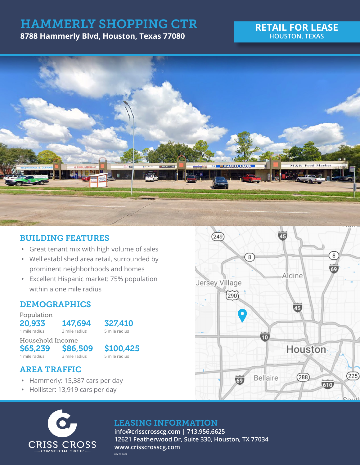# HAMMERLY SHOPPING CTR

**8788 Hammerly Blvd, Houston, Texas 77080**

### **RETAIL FOR LEASE HOUSTON, TEXAS**



# BUILDING FEATURES

- **•** Great tenant mix with high volume of sales
- **•** Well established area retail, surrounded by prominent neighborhoods and homes
- **•** Excellent Hispanic market: 75% population within a one mile radius

# DEMOGRAPHICS

Population

**20,933 147,694 327,410**<br>1 mile radius **3** mile radius **5** mile radius 1 mile radius 3 mile radius

Household Income  $$65,239$   $$86,509$   $$100,425$ <br>1 mile radius 3 mile radius 5 mile radius 1 mile radius

# AREA TRAFFIC

- **•** Hammerly: 15,387 cars per day
- **•** Hollister: 13,919 cars per day



# LEASING INFORMATION

**info@crisscrosscg.com | 713.956.6625 12621 Featherwood Dr, Suite 330, Houston, TX 77034 www.crisscrosscg.com REV 09.2021**